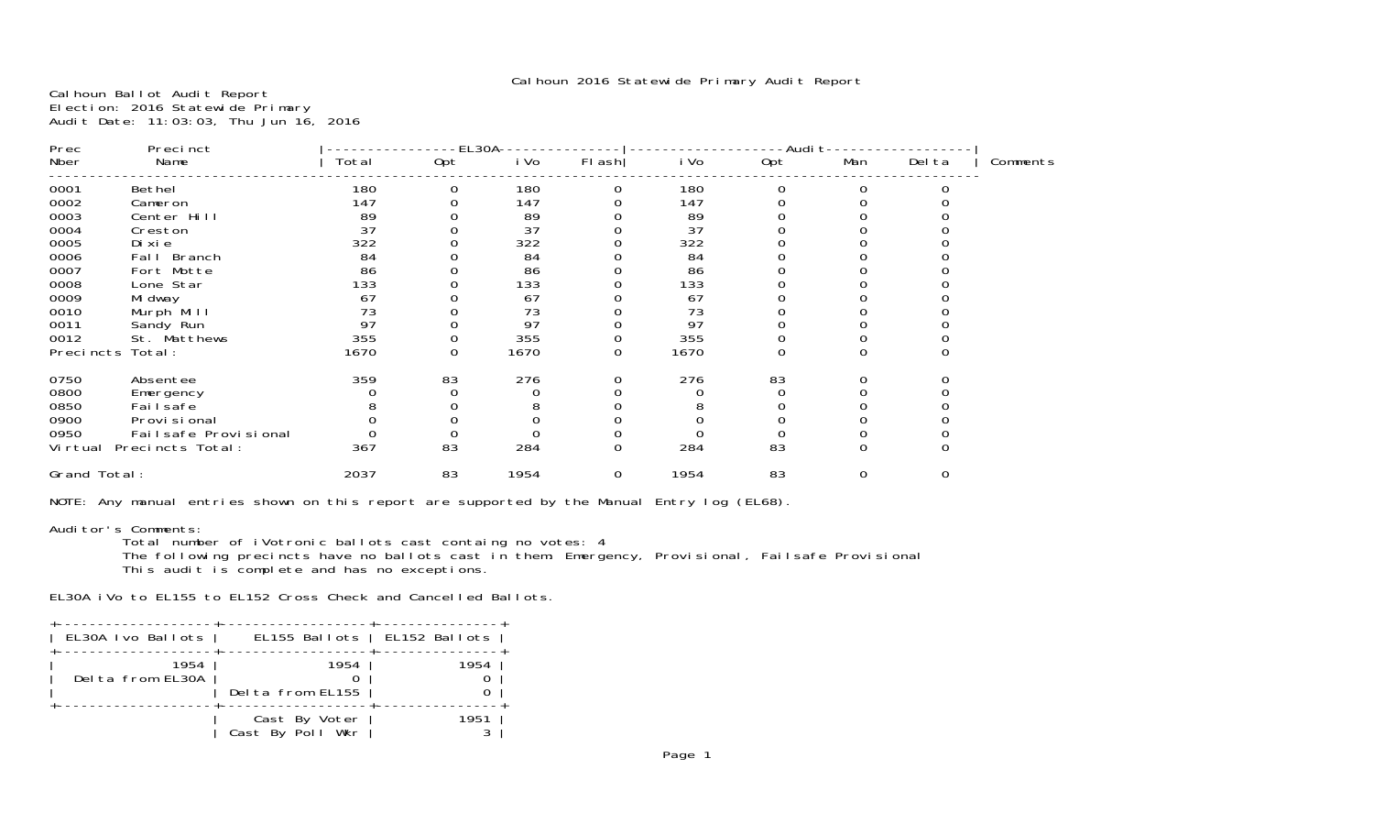Calhoun Ballot Audit Report Election: 2016 Statewide Primary Audit Date: 11:03:03, Thu Jun 16, 2016

| Prec<br>Precinct             |       | -EL3OA- |      |        |      | -Audi t∙ |          |             |          |  |
|------------------------------|-------|---------|------|--------|------|----------|----------|-------------|----------|--|
| Nber<br>Name                 | Total | Opt     | i Vo | FI ash | i Vo | Opt      | Man      | Del ta      | Comments |  |
| 0001<br>Bethel               | 180   | 0       | 180  | 0      | 180  | O        | 0        |             |          |  |
| 0002<br>Cameron              | 147   |         | 147  |        | 147  |          |          |             |          |  |
| 0003<br>Center Hill          | 89    |         | 89   |        | 89   |          |          |             |          |  |
| 0004<br>Creston              | 37    |         | 37   |        | 37   |          |          |             |          |  |
| 0005<br>Di xi e              | 322   |         | 322  |        | 322  |          |          |             |          |  |
| 0006<br>Fall Branch          | 84    |         | 84   |        | 84   |          |          |             |          |  |
| 0007<br>Fort Motte           | 86    |         | 86   |        | 86   |          |          |             |          |  |
| 0008<br>Lone Star            | 133   |         | 133  |        | 133  |          |          |             |          |  |
| 0009<br>Mi dway              | 67    |         | 67   |        | 67   |          |          |             |          |  |
| 0010<br>Murph Mill           | 73    |         | 73   |        | 73   |          |          |             |          |  |
| 0011<br>Sandy Run            | 97    |         | 97   |        | 97   |          |          |             |          |  |
| 0012<br>St. Matthews         | 355   |         | 355  |        | 355  |          |          |             |          |  |
| Total:<br>Precincts          | 1670  | 0       | 1670 | 0      | 1670 |          | 0        |             |          |  |
| 0750<br>Absentee             | 359   | 83      | 276  | 0      | 276  | 83       | 0        |             |          |  |
| 0800<br>Emergency            |       |         |      |        |      |          |          |             |          |  |
| 0850<br>Fai I safe           |       |         |      |        |      |          |          |             |          |  |
| 0900<br>Provi si onal        |       |         |      |        |      |          |          |             |          |  |
| 0950<br>Failsafe Provisional |       |         |      |        |      |          |          |             |          |  |
| Precincts Total:<br>Vi rtual | 367   | 83      | 284  | 0      | 284  | 83       | $\Omega$ | $\Omega$    |          |  |
| Grand Total:                 | 2037  | 83      | 1954 | 0      | 1954 | 83       | 0        | $\mathbf 0$ |          |  |
|                              |       |         |      |        |      |          |          |             |          |  |

NOTE: Any manual entries shown on this report are supported by the Manual Entry log (EL68).

### Auditor's Comments:

Total number of iVotronic ballots cast containg no votes: 4

 The following precincts have no ballots cast in them: Emergency, Provisional, Failsafe Provisional This audit is complete and has no exceptions.

EL30A iVo to EL155 to EL152 Cross Check and Cancelled Ballots.

| EL30A Ivo Ballots |      |                  |               | EL155 Ballots   EL152 Ballots |      |
|-------------------|------|------------------|---------------|-------------------------------|------|
| Delta from EL30A  | 1954 | Delta from EL155 | 1954          |                               | 1954 |
|                   |      | Cast By Poll Wkr | Cast By Voter |                               | 1951 |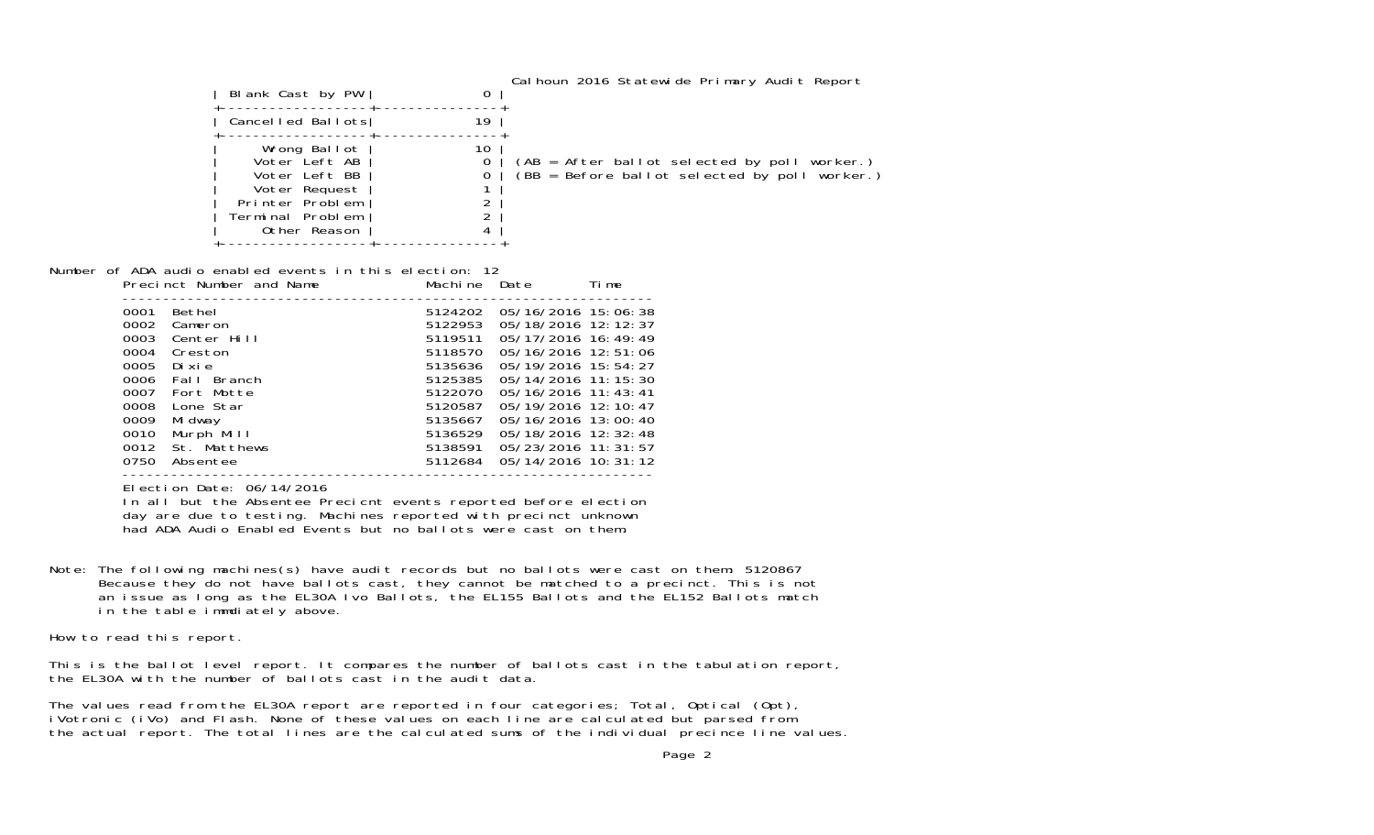| Blank Cast by PW                                                                                                       | 0       |                                                                                               |
|------------------------------------------------------------------------------------------------------------------------|---------|-----------------------------------------------------------------------------------------------|
| Cancelled Ballots                                                                                                      | 19      |                                                                                               |
| Wrong Ballot<br>Voter Left AB<br>Voter Left BB<br>Voter Request<br>Printer Problem<br>Terminal Problem<br>Other Reason | 10<br>0 | (AB = After ballot selected by poll worker.)<br>(BB = Before ballot selected by poll worker.) |

Number of ADA audio enabled events in this election: 12 Precinct Number and Name Machine Date Time

|                                                      | Precinct Number and Name                                                                    | Machine Date                                                              |                                                                                                                                                                       | lime |
|------------------------------------------------------|---------------------------------------------------------------------------------------------|---------------------------------------------------------------------------|-----------------------------------------------------------------------------------------------------------------------------------------------------------------------|------|
| 0001<br>0002<br>0003<br>0004<br>0005                 | Bethel<br>Cameron<br>Center Hill<br>Creston<br>Dixie                                        | 5124202<br>5122953<br>5119511<br>5118570<br>5135636                       | 05/16/2016 15:06:38<br>05/18/2016 12:12:37<br>05/17/2016 16:49:49<br>05/16/2016 12:51:06<br>05/19/2016 15:54:27                                                       |      |
| 0006<br>0007<br>0008<br>0009<br>0010<br>0012<br>0750 | Fall Branch<br>Fort Motte<br>Lone Star<br>Mi dway<br>Murph Mill<br>St. Matthews<br>Absentee | 5125385<br>5122070<br>5120587<br>5135667<br>5136529<br>5138591<br>5112684 | 05/14/2016 11: 15: 30<br>$05/16/2016$ 11: 43: 41<br>05/19/2016 12:10:47<br>05/16/2016 13:00:40<br>05/18/2016 12:32:48<br>05/23/2016 11:31:57<br>05/14/2016 10: 31: 12 |      |
|                                                      |                                                                                             |                                                                           |                                                                                                                                                                       |      |

Election Date: 06/14/2016

In all but the Absentee Precicnt events reported before election day are due to testing. Machines reported with precinct unknown had ADA Audio Enabled Events but no ballots were cast on them.

Note: The following machines(s) have audit records but no ballots were cast on them: 5120867 Because they do not have ballots cast, they cannot be matched to a precinct. This is not an issue as long as the EL30A Ivo Ballots, the EL155 Ballots and the EL152 Ballots match in the table immdiately above.

How to read this report.

This is the ballot level report. It compares the number of ballots cast in the tabulation report, the EL30A with the number of ballots cast in the audit data.

The values read from the EL30A report are reported in four categories; Total, Optical (Opt), iVotronic (iVo) and Flash. None of these values on each line are calculated but parsed from the actual report. The total lines are the calculated sums of the individual precince line values.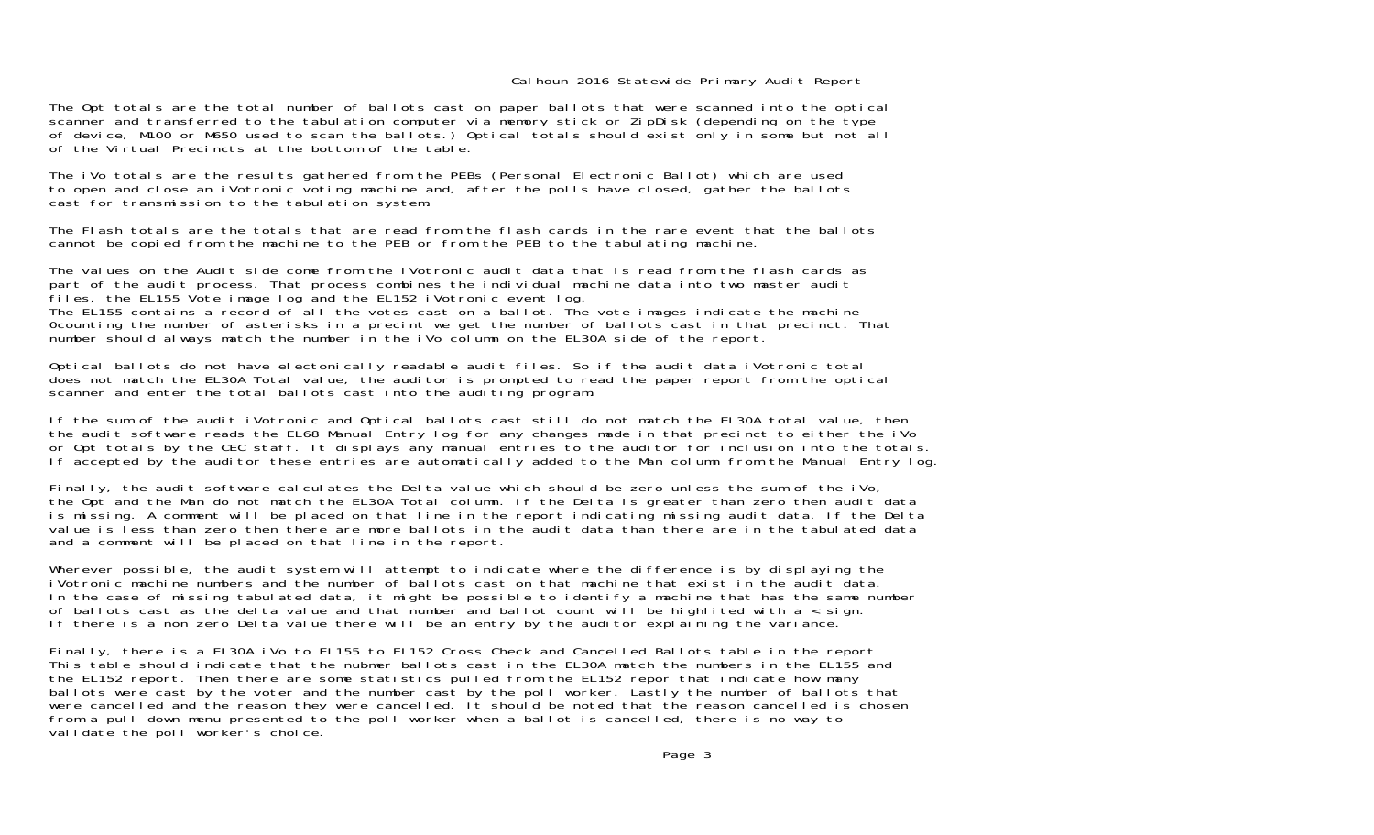The Opt totals are the total number of ballots cast on paper ballots that were scanned into the optical scanner and transferred to the tabulation computer via memory stick or ZipDisk (depending on the type of device, M100 or M650 used to scan the ballots.) Optical totals should exist only in some but not all of the Virtual Precincts at the bottom of the table.

The iVo totals are the results gathered from the PEBs (Personal Electronic Ballot) which are used to open and close an iVotronic voting machine and, after the polls have closed, gather the ballots cast for transmission to the tabulation system.

The Flash totals are the totals that are read from the flash cards in the rare event that the ballotscannot be copied from the machine to the PEB or from the PEB to the tabulating machine.

The values on the Audit side come from the iVotronic audit data that is read from the flash cards as part of the audit process. That process combines the individual machine data into two master audit files, the EL155 Vote image log and the EL152 iVotronic event log. The EL155 contains a record of all the votes cast on a ballot. The vote images indicate the machine 0counting the number of asterisks in a precint we get the number of ballots cast in that precinct. That number should always match the number in the iVo column on the EL30A side of the report.

Optical ballots do not have electonically readable audit files. So if the audit data iVotronic total does not match the EL30A Total value, the auditor is prompted to read the paper report from the optical scanner and enter the total ballots cast into the auditing program.

If the sum of the audit iVotronic and Optical ballots cast still do not match the EL30A total value, then the audit software reads the EL68 Manual Entry log for any changes made in that precinct to either the iVo or Opt totals by the CEC staff. It displays any manual entries to the auditor for inclusion into the totals. If accepted by the auditor these entries are automatically added to the Man column from the Manual Entry log.

Finally, the audit software calculates the Delta value which should be zero unless the sum of the iVo, the Opt and the Man do not match the EL30A Total column. If the Delta is greater than zero then audit data is missing. A comment will be placed on that line in the report indicating missing audit data. If the Delta value is less than zero then there are more ballots in the audit data than there are in the tabulated data and a comment will be placed on that line in the report.

Wherever possible, the audit system will attempt to indicate where the difference is by displaying the iVotronic machine numbers and the number of ballots cast on that machine that exist in the audit data.In the case of missing tabulated data, it might be possible to identify a machine that has the same number of ballots cast as the delta value and that number and ballot count will be highlited with a < sign. If there is a non zero Delta value there will be an entry by the auditor explaining the variance.

Finally, there is a EL30A iVo to EL155 to EL152 Cross Check and Cancelled Ballots table in the report This table should indicate that the nubmer ballots cast in the EL30A match the numbers in the EL155 and the EL152 report. Then there are some statistics pulled from the EL152 repor that indicate how many ballots were cast by the voter and the number cast by the poll worker. Lastly the number of ballots that were cancelled and the reason they were cancelled. It should be noted that the reason cancelled is chosen from a pull down menu presented to the poll worker when a ballot is cancelled, there is no way to validate the poll worker's choice.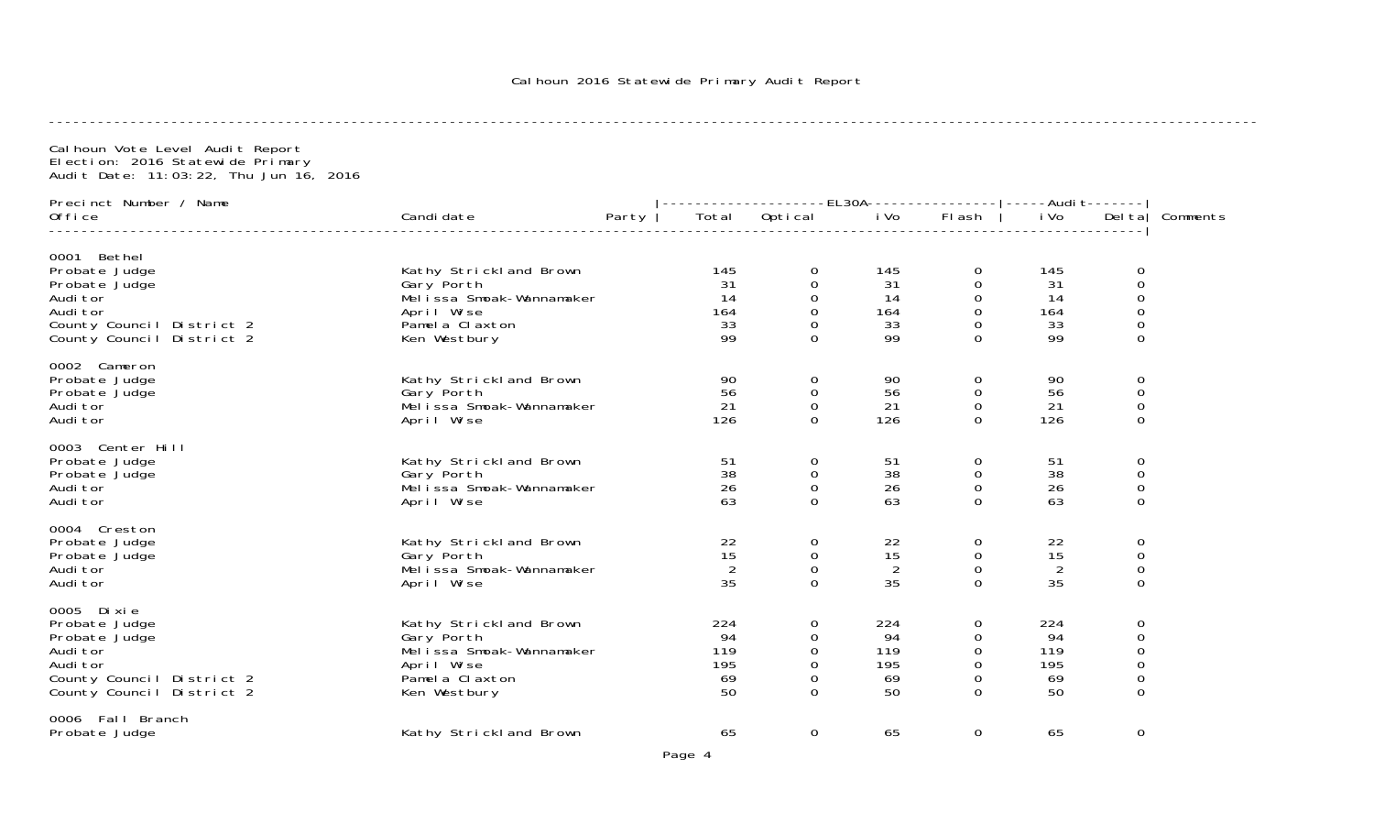| Cal houn Vote Level Audit Report<br>Election: 2016 Statewide Primary<br>Audit Date: 11:03:22, Thu Jun 16, 2016                  |                                                                                                                   |                                     |                                                                      |                                     |                                                                              |                                     |                                                                    |          |
|---------------------------------------------------------------------------------------------------------------------------------|-------------------------------------------------------------------------------------------------------------------|-------------------------------------|----------------------------------------------------------------------|-------------------------------------|------------------------------------------------------------------------------|-------------------------------------|--------------------------------------------------------------------|----------|
| Precinct Number / Name                                                                                                          |                                                                                                                   |                                     |                                                                      |                                     |                                                                              |                                     |                                                                    |          |
| Office                                                                                                                          | Candi date<br>Party                                                                                               |                                     | Total Optical iVo                                                    |                                     | Flash                                                                        | i Vo                                | Del ta                                                             | Comments |
| 0001 Bethel<br>Probate Judge<br>Probate Judge<br>Audi tor<br>Audi tor<br>County Council District 2<br>County Council District 2 | Kathy Strickland Brown<br>Gary Porth<br>Melissa Smoak-Wannamaker<br>April Wise<br>Pamel a Claxton<br>Ken Westbury | 145<br>31<br>14<br>164<br>33<br>99  | 0<br>$\mathbf 0$<br>0<br>$\boldsymbol{0}$<br>$\Omega$<br>$\mathbf 0$ | 145<br>31<br>14<br>164<br>33<br>99  | 0<br>0<br>$\mathbf 0$<br>$\mathsf O$<br>$\mathbf 0$<br>$\overline{0}$        | 145<br>31<br>14<br>164<br>33<br>99  | 0<br>0<br>0<br>$\mbox{O}$<br>$\mathbf 0$<br>$\mathbf 0$            |          |
| 0002 Cameron<br>Probate Judge<br>Probate Judge<br>Audi tor<br>Audi tor                                                          | Kathy Strickland Brown<br>Gary Porth<br>Melissa Smoak-Wannamaker<br>April Wise                                    | 90<br>56<br>21<br>126               | 0<br>$\mathbf 0$<br>$\mathbf 0$<br>$\Omega$                          | 90<br>56<br>21<br>126               | $\overline{0}$<br>$\mathbf 0$<br>$\mathbf 0$<br>$\Omega$                     | 90<br>56<br>21<br>126               | $\mathbf 0$<br>0<br>$\boldsymbol{0}$<br>0                          |          |
| 0003 Center Hill<br>Probate Judge<br>Probate Judge<br>Audi tor<br>Audi tor                                                      | Kathy Strickland Brown<br>Gary Porth<br>Mel i ssa Smoak-Wannamaker<br>April Wise                                  | 51<br>38<br>26<br>63                | $\boldsymbol{0}$<br>$\mathbf 0$<br>$\mathbf 0$<br>$\Omega$           | 51<br>38<br>26<br>63                | $\boldsymbol{0}$<br>$\mathbf 0$<br>$\mathbf 0$<br>$\mathbf 0$                | 51<br>38<br>26<br>63                | $\boldsymbol{0}$<br>$\mathbf 0$<br>$\mathbf 0$<br>0                |          |
| 0004 Creston<br>Probate Judge<br>Probate Judge<br>Audi tor<br>Audi tor                                                          | Kathy Strickland Brown<br>Gary Porth<br>Melissa Smoak-Wannamaker<br>April Wise                                    | 22<br>15<br>2<br>35                 | 0<br>$\mathbf 0$<br>$\mathbf 0$<br>$\mathbf 0$                       | 22<br>15<br>2<br>35                 | $\mathbf 0$<br>$\mathbf 0$<br>$\mathbf 0$<br>$\Omega$                        | 22<br>15<br>2<br>35                 | $\mathbf 0$<br>$\mathbf 0$<br>$\mathbf 0$<br>0                     |          |
| 0005 Dixie<br>Probate Judge<br>Probate Judge<br>Audi tor<br>Audi tor<br>County Council District 2<br>County Council District 2  | Kathy Strickland Brown<br>Gary Porth<br>Melissa Smoak-Wannamaker<br>April Wise<br>Pamela Claxton<br>Ken Westbury  | 224<br>94<br>119<br>195<br>69<br>50 | 0<br>0<br>$\mathbf 0$<br>$\Omega$<br>0<br>$\Omega$                   | 224<br>94<br>119<br>195<br>69<br>50 | 0<br>$\Omega$<br>$\mathbf 0$<br>$\mathbf 0$<br>$\mathbf 0$<br>$\overline{0}$ | 224<br>94<br>119<br>195<br>69<br>50 | $\mathbf 0$<br>$\mathbf 0$<br>$\mathbf 0$<br>$\mathbf 0$<br>0<br>0 |          |
| 0006 Fall Branch<br>Probate Judge                                                                                               | Kathy Strickland Brown                                                                                            | 65                                  | $\Omega$                                                             | 65                                  | $\Omega$                                                                     | 65                                  | $\mathbf 0$                                                        |          |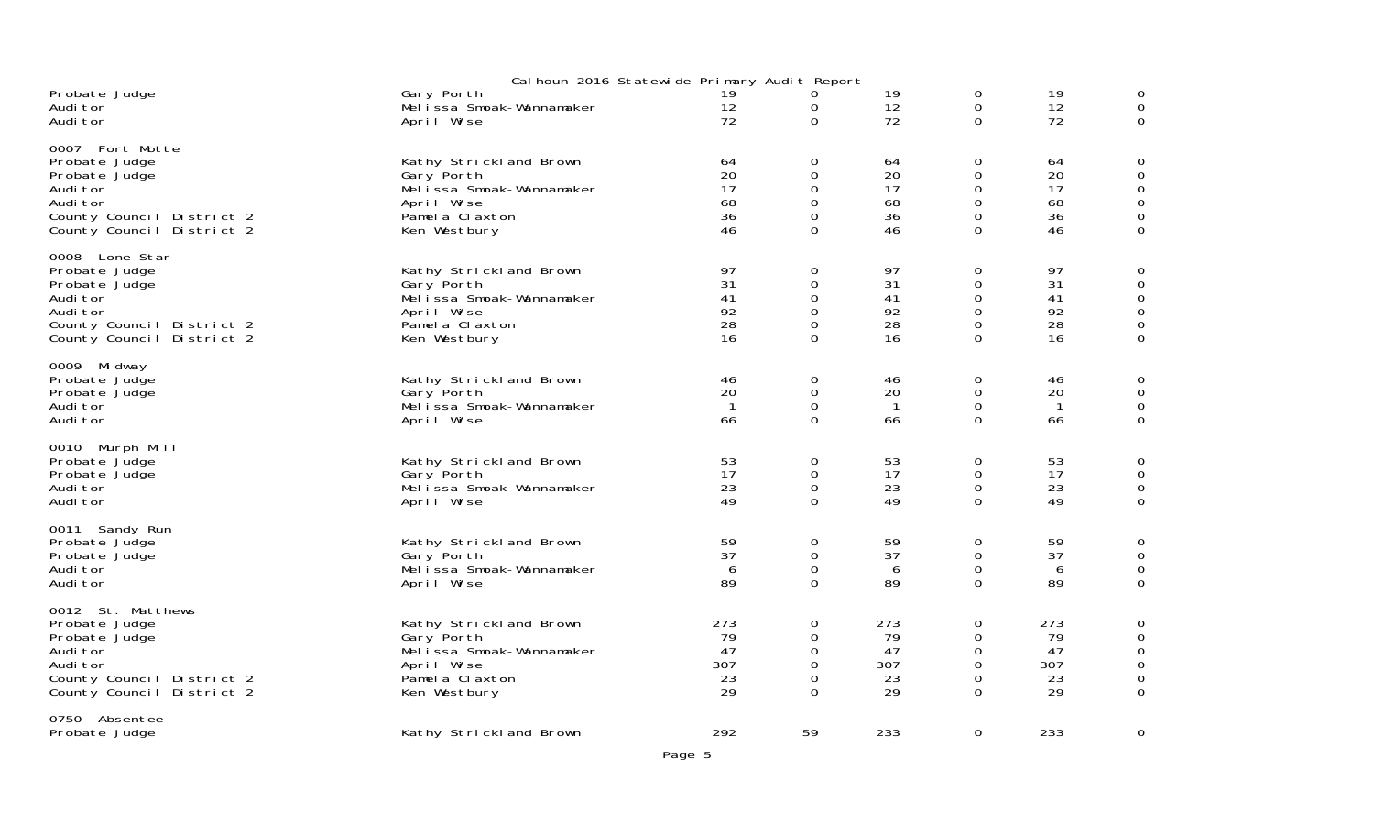|                                                                                                                                       | Cal houn 2016 Statewide Primary Audit Report                                                                      |                                    |                                                                           |                                    |                                                                                |                                    |   |
|---------------------------------------------------------------------------------------------------------------------------------------|-------------------------------------------------------------------------------------------------------------------|------------------------------------|---------------------------------------------------------------------------|------------------------------------|--------------------------------------------------------------------------------|------------------------------------|---|
| Probate Judge<br>Audi tor<br>Audi tor                                                                                                 | Gary Porth<br>Melissa Smoak-Wannamaker<br>April Wise                                                              | 19<br>12<br>72                     | 0<br>$\mathbf 0$<br>$\Omega$                                              | 19<br>12<br>72                     | 0<br>0<br>$\Omega$                                                             | 19<br>12<br>72                     |   |
| 0007 Fort Motte<br>Probate Judge<br>Probate Judge<br>Audi tor<br>Audi tor<br>County Council District 2<br>County Council District 2   | Kathy Strickland Brown<br>Gary Porth<br>Melissa Smoak-Wannamaker<br>April Wise<br>Pamela Claxton<br>Ken Westbury  | 64<br>20<br>17<br>68<br>36<br>46   | $\mathbf 0$<br>0<br>$\mathbf 0$<br>$\mathbf 0$<br>$\mathbf 0$<br>$\Omega$ | 64<br>20<br>17<br>68<br>36<br>46   | 0<br>$\Omega$<br>$\boldsymbol{0}$<br>$\mathbf 0$<br>$\overline{0}$<br>$\Omega$ | 64<br>20<br>17<br>68<br>36<br>46   |   |
| 0008 Lone Star<br>Probate Judge<br>Probate Judge<br>Audi tor<br>Audi tor<br>County Council District 2<br>County Council District 2    | Kathy Strickland Brown<br>Gary Porth<br>Melissa Smoak-Wannamaker<br>April Wise<br>Pamel a Claxton<br>Ken Westbury | 97<br>31<br>41<br>92<br>28<br>16   | 0<br>0<br>$\mathbf 0$<br>0<br>0<br>$\Omega$                               | 97<br>31<br>41<br>92<br>28<br>16   | 0<br>0<br>0<br>$\mathbf 0$<br>$\boldsymbol{0}$<br>$\Omega$                     | 97<br>31<br>41<br>92<br>28<br>16   |   |
| 0009 Midway<br>Probate Judge<br>Probate Judge<br>Audi tor<br>Audi tor                                                                 | Kathy Strickland Brown<br>Gary Porth<br>Melissa Smoak-Wannamaker<br>April Wise                                    | 46<br>20<br>$\mathbf{1}$<br>66     | $\mathbf 0$<br>$\mathbf 0$<br>$\mathbf 0$<br>$\overline{0}$               | 46<br>20<br>$\overline{1}$<br>66   | 0<br>0<br>$\mathbf 0$<br>$\Omega$                                              | 46<br>20<br>$\overline{1}$<br>66   |   |
| 0010 Murph Mill<br>Probate Judge<br>Probate Judge<br>Audi tor<br>Audi tor                                                             | Kathy Strickland Brown<br>Gary Porth<br>Mel i ssa Smoak-Wannamaker<br>April Wise                                  | 53<br>17<br>23<br>49               | $\mathbf 0$<br>$\mathbf 0$<br>$\mathbf 0$<br>$\mathbf{O}$                 | 53<br>17<br>23<br>49               | 0<br>$\boldsymbol{0}$<br>$\mathbf 0$<br>$\mathbf{O}$                           | 53<br>17<br>23<br>49               |   |
| 0011 Sandy Run<br>Probate Judge<br>Probate Judge<br>Audi tor<br>Audi tor                                                              | Kathy Strickland Brown<br>Gary Porth<br>Mel issa Smoak-Wannamaker<br>April Wise                                   | 59<br>37<br>6<br>89                | $\mathbf 0$<br>0<br>$\mathbf 0$<br>$\overline{0}$                         | 59<br>37<br>6<br>89                | 0<br>0<br>$\mathbf 0$<br>$\mathbf{O}$                                          | 59<br>37<br>6<br>89                |   |
| 0012 St. Matthews<br>Probate Judge<br>Probate Judge<br>Audi tor<br>Audi tor<br>County Council District 2<br>County Council District 2 | Kathy Strickland Brown<br>Gary Porth<br>Melissa Smoak-Wannamaker<br>April Wise<br>Pamel a Claxton<br>Ken Westbury | 273<br>79<br>47<br>307<br>23<br>29 | $\mathbf 0$<br>0<br>$\Omega$<br>$\mathbf 0$<br>0<br>$\Omega$              | 273<br>79<br>47<br>307<br>23<br>29 | 0<br>$\Omega$<br>0<br>$\boldsymbol{0}$<br>0<br>$\Omega$                        | 273<br>79<br>47<br>307<br>23<br>29 |   |
| 0750 Absentee<br>Probate Judge                                                                                                        | Kathy Strickland Brown                                                                                            | 292                                | 59                                                                        | 233                                | 0                                                                              | 233                                | C |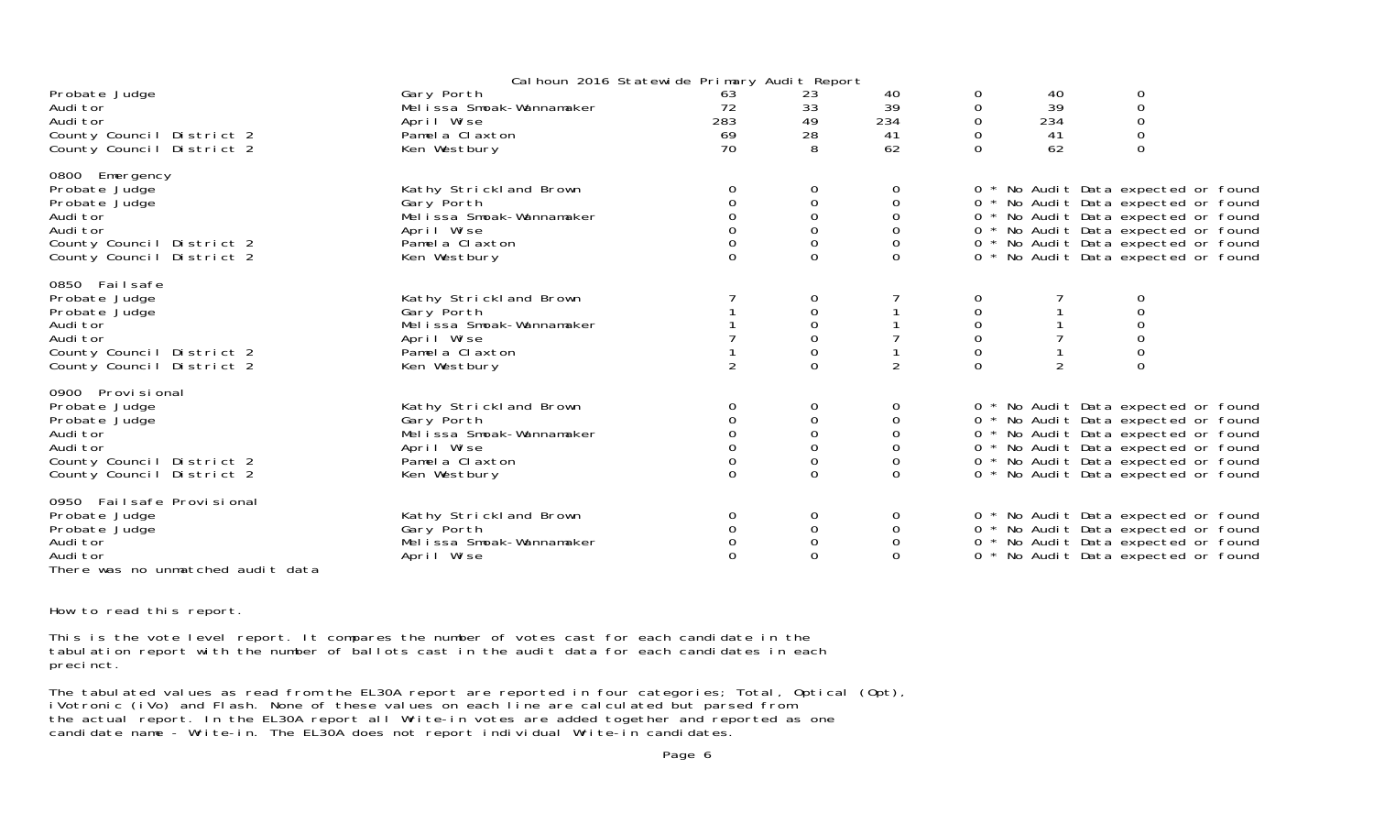|                                                                                                                                        | Cal houn 2016 Statewide Primary Audit Report                                                                      |                                      |                                                           |                                                                                                   |                         |                             |                                                                                                                                                                                                                                        |  |
|----------------------------------------------------------------------------------------------------------------------------------------|-------------------------------------------------------------------------------------------------------------------|--------------------------------------|-----------------------------------------------------------|---------------------------------------------------------------------------------------------------|-------------------------|-----------------------------|----------------------------------------------------------------------------------------------------------------------------------------------------------------------------------------------------------------------------------------|--|
| Probate Judge<br>Audi tor<br>Audi tor<br>County Council District 2<br>County Council District 2                                        | Gary Porth<br>Melissa Smoak-Wannamaker<br>April Wise<br>Pamela Claxton<br>Ken Westbury                            | 63<br>72<br>283<br>69<br>70          | 23<br>33<br>49<br>28<br>8                                 | 40<br>39<br>234<br>41<br>62                                                                       | 0<br>0<br>0<br>$\Omega$ | 40<br>39<br>234<br>41<br>62 | 0<br>$\mbox{O}$<br>$\mathbf 0$<br>$\mathbf 0$<br>$\Omega$                                                                                                                                                                              |  |
| 0800 Emergency<br>Probate Judge<br>Probate Judge<br>Audi tor<br>Audi tor<br>County Council District 2<br>County Council District 2     | Kathy Strickland Brown<br>Gary Porth<br>Melissa Smoak-Wannamaker<br>April Wise<br>Pamela Claxton<br>Ken Westbury  | 0<br>0<br>$\Omega$<br>$\Omega$       | 0<br>0<br>$\Omega$<br>$\Omega$<br>$\mathbf 0$<br>$\Omega$ | 0<br>$\mathsf{O}\xspace$<br>$\mathbf 0$<br>$\mathsf{O}\xspace$<br>$\mathsf{O}\xspace$<br>$\Omega$ |                         |                             | 0 * No Audit Data expected or found<br>0 * No Audit Data expected or found<br>0 * No Audit Data expected or found<br>0 * No Audit Data expected or found<br>0 * No Audit Data expected or found<br>0 * No Audit Data expected or found |  |
| 0850 Failsafe<br>Probate Judge<br>Probate Judge<br>Audi tor<br>Audi tor<br>County Council District 2<br>County Council District 2      | Kathy Strickland Brown<br>Gary Porth<br>Melissa Smoak-Wannamaker<br>April Wise<br>Pamela Claxton<br>Ken Westbury  | 2                                    | 0<br>$\Omega$                                             | $\overline{2}$                                                                                    | $\Omega$                | $\overline{2}$              | 0                                                                                                                                                                                                                                      |  |
| 0900 Provi si onal<br>Probate Judge<br>Probate Judge<br>Audi tor<br>Audi tor<br>County Council District 2<br>County Council District 2 | Kathy Strickland Brown<br>Gary Porth<br>Melissa Smoak-Wannamaker<br>April Wise<br>Pamel a Claxton<br>Ken Westbury | 0<br>0<br>0<br>$\Omega$              | 0<br>0<br>0<br>0<br>$\Omega$                              | 0<br>$\mathbf 0$<br>$\mathsf{O}\xspace$<br>0<br>$\boldsymbol{0}$<br>$\mathbf{O}$                  |                         |                             | 0 * No Audit Data expected or found<br>0 * No Audit Data expected or found<br>0 * No Audit Data expected or found<br>0 * No Audit Data expected or found<br>0 * No Audit Data expected or found<br>0 * No Audit Data expected or found |  |
| 0950 Failsafe Provisional<br>Probate Judge<br>Probate Judge<br>Audi tor<br>Audi tor<br>There was no unmatched audit data               | Kathy Strickland Brown<br>Gary Porth<br>Melissa Smoak-Wannamaker<br>April Wise                                    | 0<br>0<br>$\mathbf 0$<br>$\mathbf 0$ | 0<br>0<br>0<br>$\Omega$                                   | 0<br>$\mathbf 0$<br>$\mathbf 0$<br>$\Omega$                                                       | $\Omega$                |                             | 0 * No Audit Data expected or found<br>0 * No Audit Data expected or found<br>0 * No Audit Data expected or found<br>No Audit Data expected or found                                                                                   |  |

How to read this report.

This is the vote level report. It compares the number of votes cast for each candidate in the tabulation report with the number of ballots cast in the audit data for each candidates in each precinct.

The tabulated values as read from the EL30A report are reported in four categories; Total, Optical (Opt), iVotronic (iVo) and Flash. None of these values on each line are calculated but parsed from the actual report. In the EL30A report all Write-in votes are added together and reported as one candidate name - Write-in. The EL30A does not report individual Write-in candidates.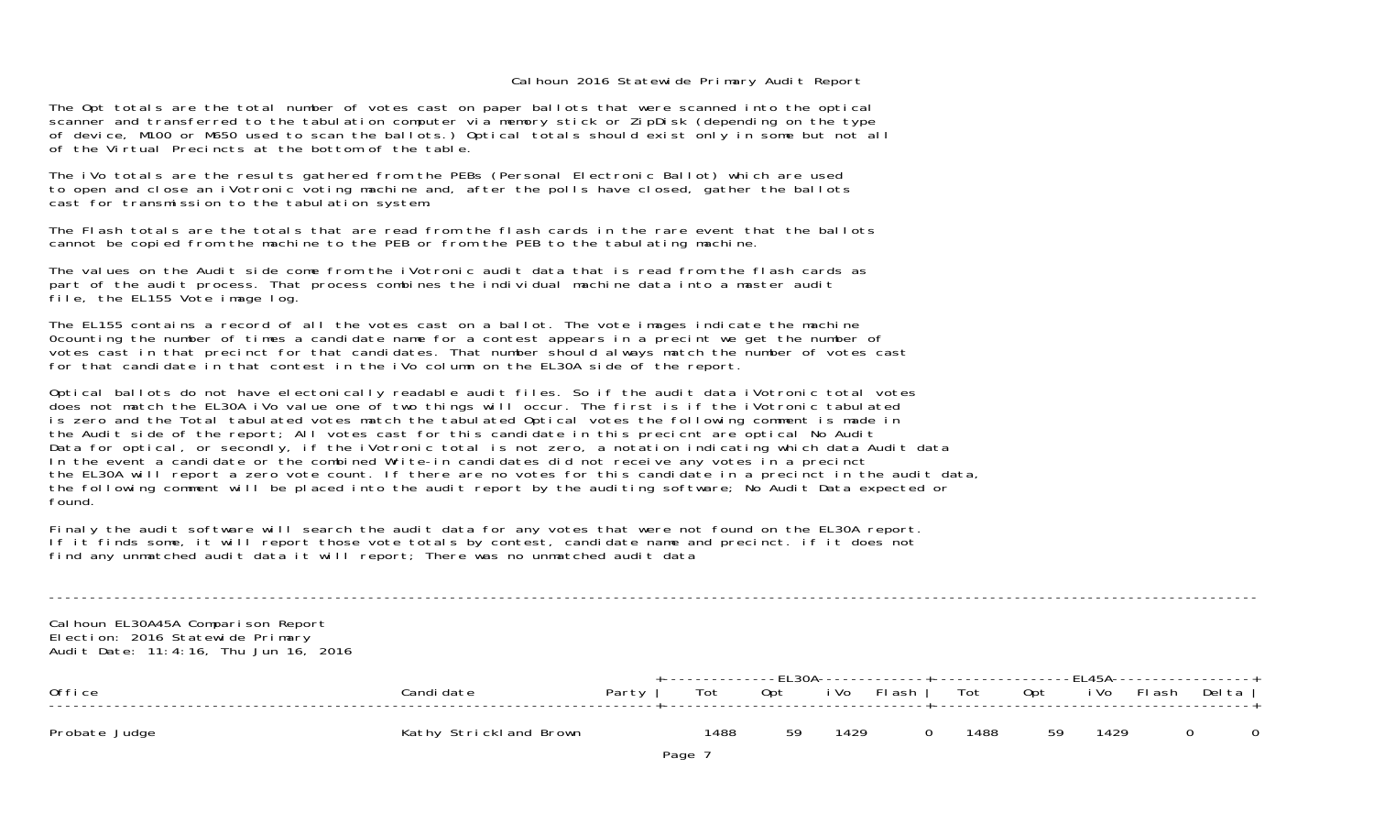The Opt totals are the total number of votes cast on paper ballots that were scanned into the optical scanner and transferred to the tabulation computer via memory stick or ZipDisk (depending on the type of device, M100 or M650 used to scan the ballots.) Optical totals should exist only in some but not all of the Virtual Precincts at the bottom of the table.

The iVo totals are the results gathered from the PEBs (Personal Electronic Ballot) which are used to open and close an iVotronic voting machine and, after the polls have closed, gather the ballots cast for transmission to the tabulation system.

The Flash totals are the totals that are read from the flash cards in the rare event that the ballotscannot be copied from the machine to the PEB or from the PEB to the tabulating machine.

The values on the Audit side come from the iVotronic audit data that is read from the flash cards as part of the audit process. That process combines the individual machine data into a master audit file, the EL155 Vote image log.

The EL155 contains a record of all the votes cast on a ballot. The vote images indicate the machine 0counting the number of times a candidate name for a contest appears in a precint we get the number of votes cast in that precinct for that candidates. That number should always match the number of votes cast for that candidate in that contest in the iVo column on the EL30A side of the report.

Optical ballots do not have electonically readable audit files. So if the audit data iVotronic total votes does not match the EL30A iVo value one of two things will occur. The first is if the iVotronic tabulated is zero and the Total tabulated votes match the tabulated Optical votes the following comment is made in the Audit side of the report; All votes cast for this candidate in this precicnt are optical No Audit Data for optical, or secondly, if the iVotronic total is not zero, a notation indicating which data Audit data In the event a candidate or the combined Write-in candidates did not receive any votes in a precinct the EL30A will report a zero vote count. If there are no votes for this candidate in a precinct in the audit data, the following comment will be placed into the audit report by the auditing software; No Audit Data expected or found.

Finaly the audit software will search the audit data for any votes that were not found on the EL30A report. If it finds some, it will report those vote totals by contest, candidate name and precinct. if it does not find any unmatched audit data it will report; There was no unmatched audit data

Calhoun EL30A45A Comparison Report Election: 2016 Statewide Primary Audit Date: 11:4:16, Thu Jun 16, 2016

| Office        | Candi date             |     |      |    |      | +-------------FL30A-------------+------------------FL45A------------------+<br>Party   Tot Opt iVo Flash   Tot Opt iVo Flash Delta |      |         |  |  |
|---------------|------------------------|-----|------|----|------|------------------------------------------------------------------------------------------------------------------------------------|------|---------|--|--|
| Probate Judge | Kathy Strickland Brown | $-$ | 1488 | 59 | 1429 | $\Omega$                                                                                                                           | 1488 | 59 1429 |  |  |

----------------------------------------------------------------------------------------------------------------------------------------------------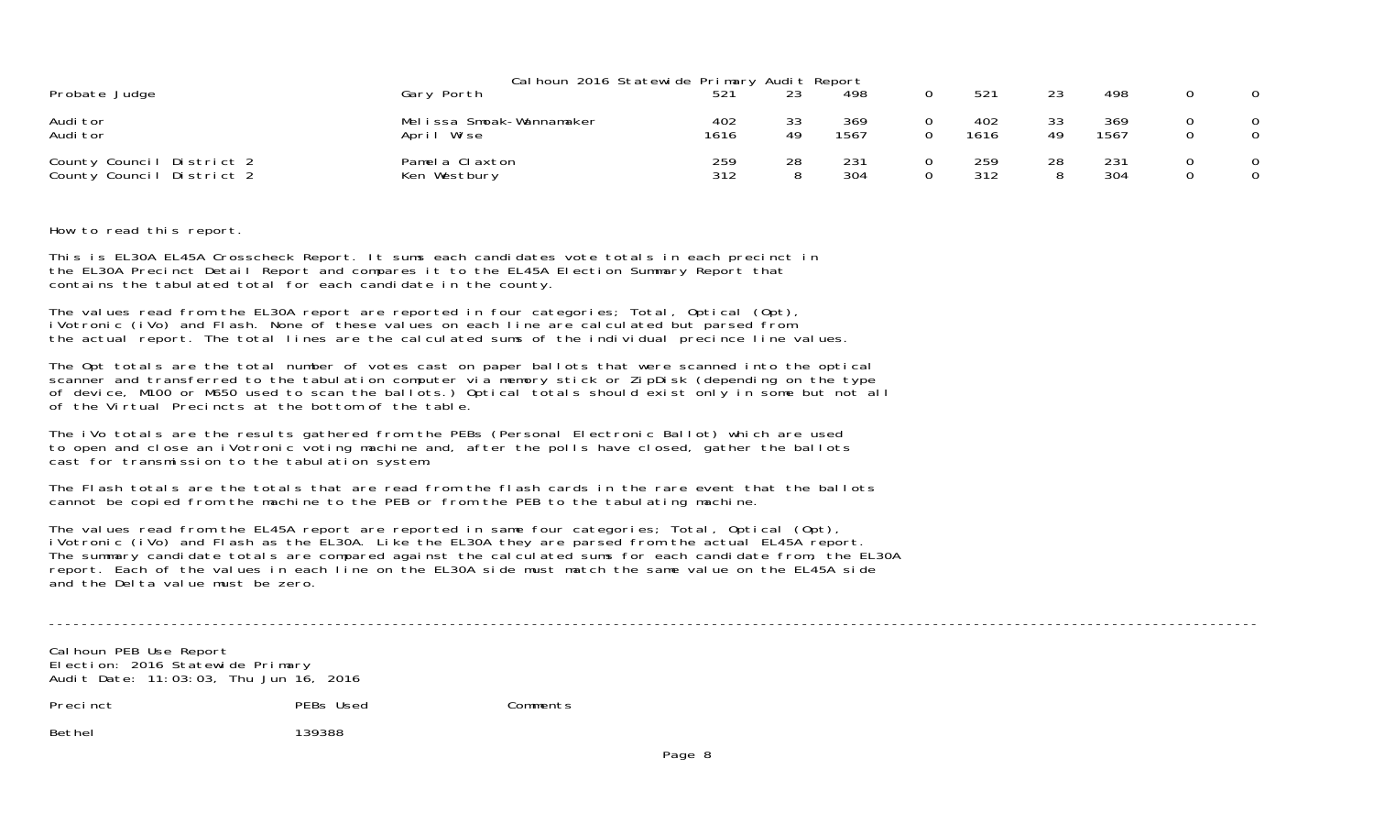| Cal houn 2016 Statewide Primary Audit Report           |                                        |             |          |             |  |             |          |             |                      |
|--------------------------------------------------------|----------------------------------------|-------------|----------|-------------|--|-------------|----------|-------------|----------------------|
| Probate Judge                                          | Gary Porth                             |             | 23       | 498         |  | 521         | 23       | 498         | $\Omega$             |
| Audi tor<br>Audi tor                                   | Melissa Smoak-Wannamaker<br>April Wise | 402<br>1616 | 33<br>49 | 369<br>1567 |  | 402<br>1616 | 33<br>49 | 369<br>1567 | $\Omega$<br>$\Omega$ |
| County Council District 2<br>County Council District 2 | Pamela Claxton<br>Ken Westbury         | 259<br>312  | 28<br>8  | 231<br>304  |  | 259<br>312  | 28       | 231<br>304  | $\Omega$<br>$\Omega$ |

How to read this report.

This is EL30A EL45A Crosscheck Report. It sums each candidates vote totals in each precinct in the EL30A Precinct Detail Report and compares it to the EL45A Election Summary Report that contains the tabulated total for each candidate in the county.

The values read from the EL30A report are reported in four categories; Total, Optical (Opt), iVotronic (iVo) and Flash. None of these values on each line are calculated but parsed from the actual report. The total lines are the calculated sums of the individual precince line values.

The Opt totals are the total number of votes cast on paper ballots that were scanned into the optical scanner and transferred to the tabulation computer via memory stick or ZipDisk (depending on the type of device, M100 or M650 used to scan the ballots.) Optical totals should exist only in some but not all of the Virtual Precincts at the bottom of the table.

The iVo totals are the results gathered from the PEBs (Personal Electronic Ballot) which are used to open and close an iVotronic voting machine and, after the polls have closed, gather the ballots cast for transmission to the tabulation system.

The Flash totals are the totals that are read from the flash cards in the rare event that the ballots cannot be copied from the machine to the PEB or from the PEB to the tabulating machine.

The values read from the EL45A report are reported in same four categories; Total, Optical (Opt), iVotronic (iVo) and Flash as the EL30A. Like the EL30A they are parsed from the actual EL45A report. The summary candidate totals are compared against the calculated sums for each candidate from, the EL30A report. Each of the values in each line on the EL30A side must match the same value on the EL45A side and the Delta value must be zero.

----------------------------------------------------------------------------------------------------------------------------------------------------

Cal houn PEB Use Report Election: 2016 Statewide Primary Audit Date: 11:03:03, Thu Jun 16, 2016

Precinct PEBs Used Comments

Bethel 139388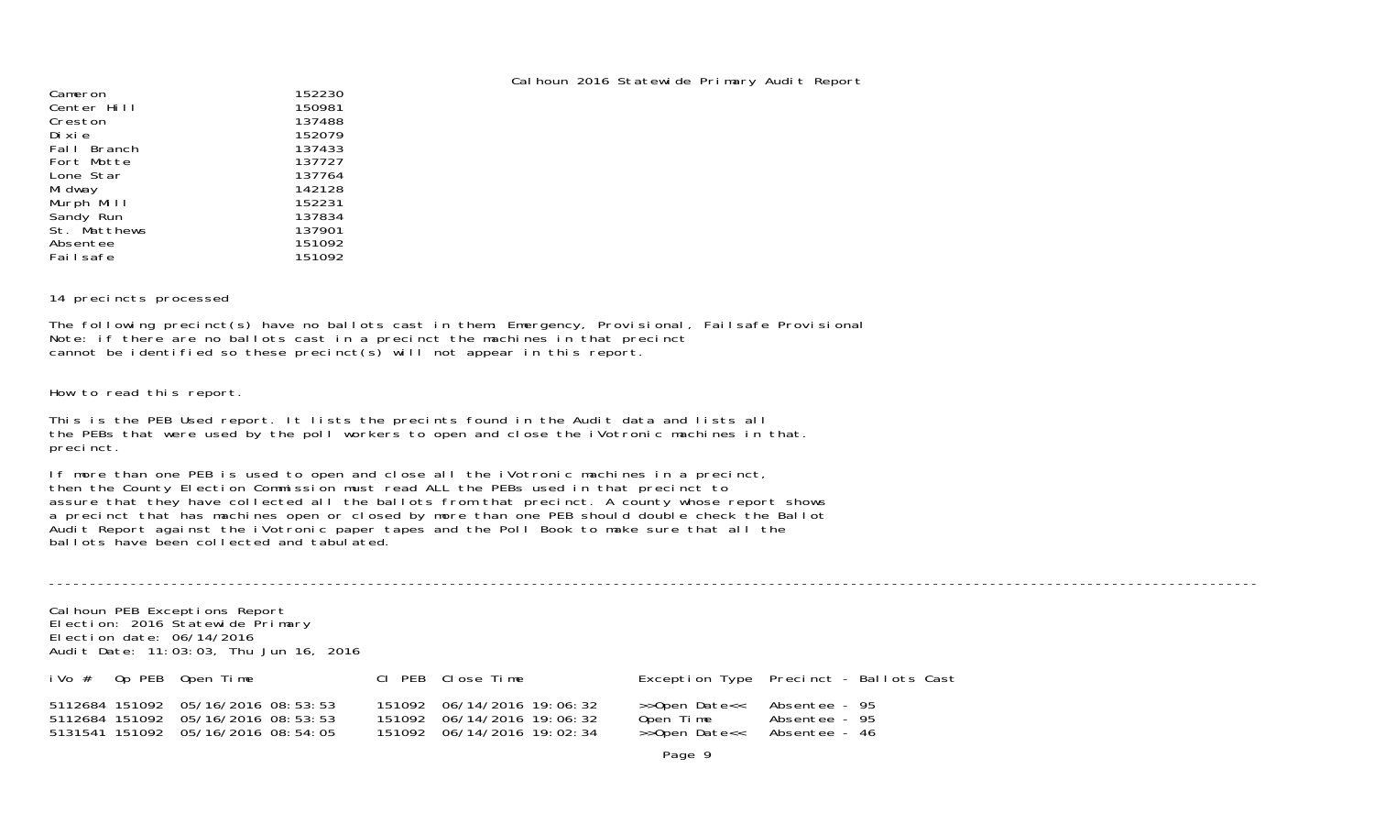| Cameron      | 152230 |
|--------------|--------|
| Center Hill  | 150981 |
| Creston      | 137488 |
| Di xi e      | 152079 |
| Fall Branch  | 137433 |
| Fort Motte   | 137727 |
| Lone Star    | 137764 |
| Mi dway      | 142128 |
| Murph Mill   | 152231 |
| Sandy Run    | 137834 |
| St. Matthews | 137901 |
| Absentee     | 151092 |
| Fai I safe   | 151092 |

14 precincts processed

The following precinct(s) have no ballots cast in them: Emergency, Provisional, Failsafe Provisional Note: if there are no ballots cast in a precinct the machines in that precinct cannot be identified so these precinct(s) will not appear in this report.

How to read this report.

This is the PEB Used report. It lists the precints found in the Audit data and lists all the PEBs that were used by the poll workers to open and close the iVotronic machines in that. precinct.

If more than one PEB is used to open and close all the iVotronic machines in a precinct, then the County Election Commission must read ALL the PEBs used in that precinct to assure that they have collected all the ballots from that precinct. A county whose report shows a precinct that has machines open or closed by more than one PEB should double check the Ballot Audit Report against the iVotronic paper tapes and the Poll Book to make sure that all the ballots have been collected and tabulated.

----------------------------------------------------------------------------------------------------------------------------------------------------Calhoun PEB Exceptions Report Election: 2016 Statewide Primary Election date: 06/14/2016 Audit Date: 11:03:03, Thu Jun 16, 2016 iVo # Op PEB Open Time Cl PEB Close Time Exception Type Precinct - Ballots Cast 5112684 151092 05/16/2016 08:53:53 151092 06/14/2016 19:06:32 >>Open Date<< Absentee - 95 5112684 151092 05/16/2016 08:53:53 151092 06/14/2016 19:06:32 Open Time Absentee - 95 5131541 151092 05/16/2016 08:54:05